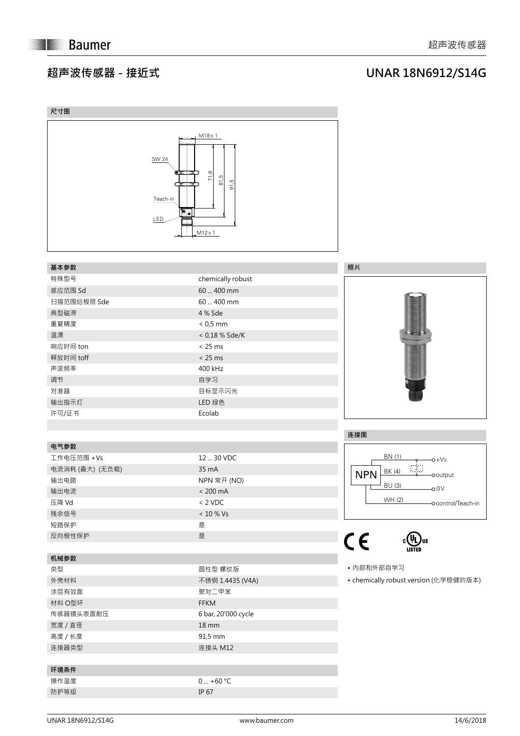## **超声波传感器 - 接近式**

## **UNAR 18N6912/S14G**